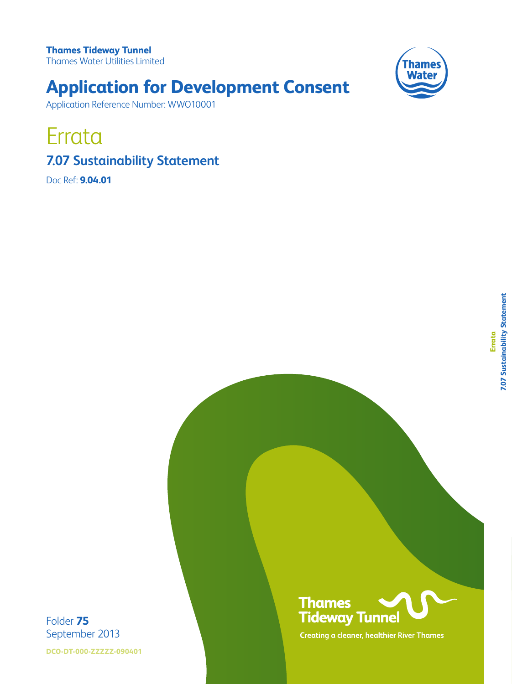**Thames Tideway Tunnel**  Thames Water Utilities Limited



# **Application for Development Consent**

Application Reference Number: WWO10001

Errata

## **7.07 Sustainability Statement**

Doc Ref: **9.04.01**



**DCO-DT-000-ZZZZZ-090401**



**Creating a cleaner, healthier River Thames**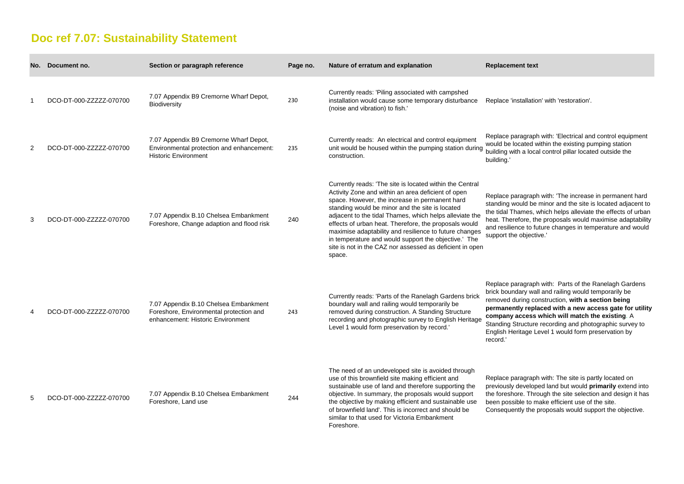## **Doc ref 7.07: Sustainability Statement**

| No. | Document no.             | Section or paragraph reference                                                                                        | Page no. | Nature of erratum and explanation                                                                                                                                                                                                                                                                                                                                                                                                                                                                                               | <b>Replacement text</b>                                                                                                                                            |
|-----|--------------------------|-----------------------------------------------------------------------------------------------------------------------|----------|---------------------------------------------------------------------------------------------------------------------------------------------------------------------------------------------------------------------------------------------------------------------------------------------------------------------------------------------------------------------------------------------------------------------------------------------------------------------------------------------------------------------------------|--------------------------------------------------------------------------------------------------------------------------------------------------------------------|
|     | DCO-DT-000-ZZZZZZ-070700 | 7.07 Appendix B9 Cremorne Wharf Depot,<br><b>Biodiversity</b>                                                         | 230      | Currently reads: 'Piling associated with campshed<br>installation would cause some temporary disturbance<br>(noise and vibration) to fish.'                                                                                                                                                                                                                                                                                                                                                                                     | Replace 'installatio                                                                                                                                               |
| 2   | DCO-DT-000-ZZZZZZ-070700 | 7.07 Appendix B9 Cremorne Wharf Depot,<br>Environmental protection and enhancement:<br><b>Historic Environment</b>    | 235      | Currently reads: An electrical and control equipment<br>unit would be housed within the pumping station during<br>construction.                                                                                                                                                                                                                                                                                                                                                                                                 | Replace paragraph<br>would be located w<br>building with a loca<br>building.'                                                                                      |
| 3   | DCO-DT-000-ZZZZZZ-070700 | 7.07 Appendix B.10 Chelsea Embankment<br>Foreshore, Change adaption and flood risk                                    | 240      | Currently reads: 'The site is located within the Central<br>Activity Zone and within an area deficient of open<br>space. However, the increase in permanent hard<br>standing would be minor and the site is located<br>adjacent to the tidal Thames, which helps alleviate the<br>effects of urban heat. Therefore, the proposals would<br>maximise adaptability and resilience to future changes<br>in temperature and would support the objective.' The<br>site is not in the CAZ nor assessed as deficient in open<br>space. | Replace paragraph<br>standing would be<br>the tidal Thames, v<br>heat. Therefore, th<br>and resilience to fu<br>support the objecti                                |
|     | DCO-DT-000-ZZZZZZ-070700 | 7.07 Appendix B.10 Chelsea Embankment<br>Foreshore, Environmental protection and<br>enhancement: Historic Environment | 243      | Currently reads: 'Parts of the Ranelagh Gardens brick<br>boundary wall and railing would temporarily be<br>removed during construction. A Standing Structure<br>recording and photographic survey to English Heritage<br>Level 1 would form preservation by record.'                                                                                                                                                                                                                                                            | Replace paragraph<br>brick boundary wal<br>removed during co<br>permanently repla<br>company access<br><b>Standing Structure</b><br>English Heritage L<br>record.' |
| 5   | DCO-DT-000-ZZZZZ-070700  | 7.07 Appendix B.10 Chelsea Embankment<br>Foreshore, Land use                                                          | 244      | The need of an undeveloped site is avoided through<br>use of this brownfield site making efficient and<br>sustainable use of land and therefore supporting the<br>objective. In summary, the proposals would support<br>the objective by making efficient and sustainable use<br>of brownfield land'. This is incorrect and should be<br>similar to that used for Victoria Embankment<br>Foreshore.                                                                                                                             | Replace paragraph<br>previously develop<br>the foreshore. Thro<br>been possible to m<br>Consequently the                                                           |

stallation' with 'restoration'.

ragraph with: 'Electrical and control equipment cated within the existing pumping station h a local control pillar located outside the

ragraph with: 'The increase in permanent hard buld be minor and the site is located adjacent to ames, which helps alleviate the effects of urban fore, the proposals would maximise adaptability ice to future changes in temperature and would objective.'

ragraph with: Parts of the Ranelagh Gardens lary wall and railing would temporarily be uring construction, with a section being **paraty replaced with a new access gate for utility company access which will match the existing**. A tructure recording and photographic survey to itage Level 1 would form preservation by

ragraph with: The site is partly located on developed land but would **primarily** extend into re. Through the site selection and design it has ble to make efficient use of the site. tly the proposals would support the objective.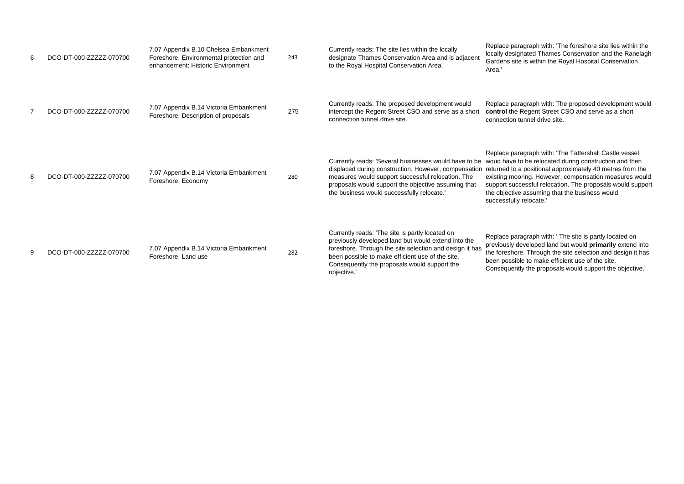Replace paragraph with: 'The foreshore site lies within the gnated Thames Conservation and the Ranelagh te is within the Royal Hospital Conservation

> aragraph with: The proposed development would **Regent Street CSO and serve as a short** tunnel drive site.

aragraph with: 'The Tattershall Castle vessel to be relocated during construction and then a positional approximately 40 metres from the poring. However, compensation measures would ccessful relocation. The proposals would support e assuming that the business would ly relocate.'

aragraph with: ' The site is partly located on developed land but would **primarily** extend into ore. Through the site selection and design it has ble to make efficient use of the site. ntly the proposals would support the objective.'

| 6 | DCO-DT-000-ZZZZZZ-070700 | 7.07 Appendix B.10 Chelsea Embankment<br>Foreshore, Environmental protection and<br>enhancement: Historic Environment | 243 | Currently reads: The site lies within the locally<br>designate Thames Conservation Area and is adjacent<br>to the Royal Hospital Conservation Area.                                                                                                                                  | Replace pa<br>locally desig<br>Gardens sit<br>Area.'                                  |
|---|--------------------------|-----------------------------------------------------------------------------------------------------------------------|-----|--------------------------------------------------------------------------------------------------------------------------------------------------------------------------------------------------------------------------------------------------------------------------------------|---------------------------------------------------------------------------------------|
| 7 | DCO-DT-000-ZZZZZZ-070700 | 7.07 Appendix B.14 Victoria Embankment<br>Foreshore, Description of proposals                                         | 275 | Currently reads: The proposed development would<br>intercept the Regent Street CSO and serve as a short<br>connection tunnel drive site.                                                                                                                                             | Replace pa<br>control the<br>connection                                               |
| 8 | DCO-DT-000-ZZZZZZ-070700 | 7.07 Appendix B.14 Victoria Embankment<br>Foreshore, Economy                                                          | 280 | Currently reads: 'Several businesses would have to be<br>displaced during construction. However, compensation returned to<br>measures would support successful relocation. The<br>proposals would support the objective assuming that<br>the business would successfully relocate.'  | Replace pa<br>woud have<br>existing mo<br>support suc<br>the objectiv<br>successfully |
| 9 | DCO-DT-000-ZZZZZZ-070700 | 7.07 Appendix B.14 Victoria Embankment<br>Foreshore, Land use                                                         | 282 | Currently reads: 'The site is partly located on<br>previously developed land but would extend into the<br>foreshore. Through the site selection and design it has<br>been possible to make efficient use of the site.<br>Consequently the proposals would support the<br>objective.' | Replace pa<br>previously o<br>the foresho<br>been possil<br>Consequen                 |